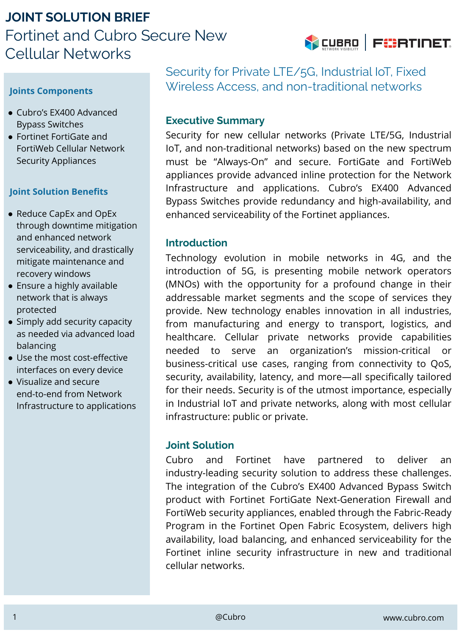# **JOINT SOLUTION BRIEF** Fortinet and Cubro Secure New Cellular Networks

# **Y CUBRO FIERTINET**

#### **Joints Components**

- Cubro's EX400 Advanced Bypass Switches
- Fortinet FortiGate and FortiWeb Cellular Network Security Appliances

#### **Joint Solution Benefits**

- Reduce CapEx and OpEx through downtime mitigation and enhanced network serviceability, and drastically mitigate maintenance and recovery windows
- Ensure a highly available network that is always protected
- Simply add security capacity as needed via advanced load balancing
- Use the most cost-effective interfaces on every device
- Visualize and secure end-to-end from Network Infrastructure to applications

Security for Private LTE/5G, Industrial IoT, Fixed Wireless Access, and non-traditional networks

### **Executive Summary**

Security for new cellular networks (Private LTE/5G, Industrial IoT, and non-traditional networks) based on the new spectrum must be "Always-On" and secure. FortiGate and FortiWeb appliances provide advanced inline protection for the Network Infrastructure and applications. Cubro's EX400 Advanced Bypass Switches provide redundancy and high-availability, and enhanced serviceability of the Fortinet appliances.

# **Introduction**

Technology evolution in mobile networks in 4G, and the introduction of 5G, is presenting mobile network operators (MNOs) with the opportunity for a profound change in their addressable market segments and the scope of services they provide. New technology enables innovation in all industries, from manufacturing and energy to transport, logistics, and healthcare. Cellular private networks provide capabilities needed to serve an organization's mission-critical or business-critical use cases, ranging from connectivity to QoS, security, availability, latency, and more—all specifically tailored for their needs. Security is of the utmost importance, especially in Industrial IoT and private networks, along with most cellular infrastructure: public or private.

#### **Joint Solution**

Cubro and Fortinet have partnered to deliver an industry-leading security solution to address these challenges. The integration of the Cubro's EX400 Advanced Bypass Switch product with Fortinet FortiGate Next-Generation Firewall and FortiWeb security appliances, enabled through the Fabric-Ready Program in the Fortinet Open Fabric Ecosystem, delivers high availability, load balancing, and enhanced serviceability for the Fortinet inline security infrastructure in new and traditional cellular networks.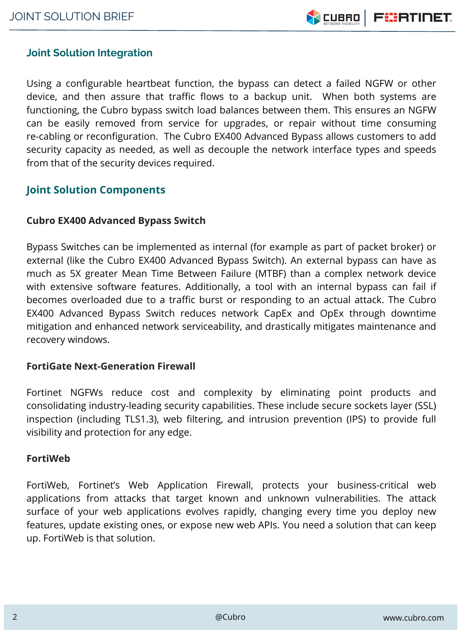# **Joint Solution Integration**

Using a configurable heartbeat function, the bypass can detect a failed NGFW or other device, and then assure that traffic flows to a backup unit. When both systems are functioning, the Cubro bypass switch load balances between them. This ensures an NGFW can be easily removed from service for upgrades, or repair without time consuming re-cabling or reconfiguration. The Cubro EX400 Advanced Bypass allows customers to add security capacity as needed, as well as decouple the network interface types and speeds from that of the security devices required.

# **Joint Solution Components**

### **Cubro EX400 Advanced Bypass Switch**

Bypass Switches can be implemented as internal (for example as part of packet broker) or external (like the Cubro EX400 Advanced Bypass Switch). An external bypass can have as much as 5X greater Mean Time Between Failure (MTBF) than a complex network device with extensive software features. Additionally, a tool with an internal bypass can fail if becomes overloaded due to a traffic burst or responding to an actual attack. The Cubro EX400 Advanced Bypass Switch reduces network CapEx and OpEx through downtime mitigation and enhanced network serviceability, and drastically mitigates maintenance and recovery windows.

### **FortiGate Next-Generation Firewall**

Fortinet NGFWs reduce cost and complexity by eliminating point products and consolidating industry-leading security capabilities. These include secure sockets layer (SSL) inspection (including TLS1.3), web filtering, and intrusion prevention (IPS) to provide full visibility and protection for any edge.

### **FortiWeb**

FortiWeb, Fortinet's Web Application Firewall, protects your business-critical web applications from attacks that target known and unknown vulnerabilities. The attack surface of your web applications evolves rapidly, changing every time you deploy new features, update existing ones, or expose new web APIs. You need a solution that can keep up. FortiWeb is that solution.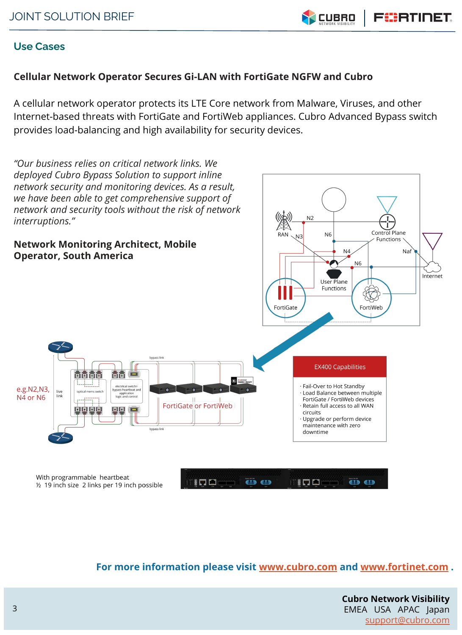

# **Use Cases**

# **Cellular Network Operator Secures Gi-LAN with FortiGate NGFW and Cubro**

A cellular network operator protects its LTE Core network from Malware, Viruses, and other Internet-based threats with FortiGate and FortiWeb appliances. Cubro Advanced Bypass switch provides load-balancing and high availability for security devices.



**For more information please visit [www.cubro.com](http://www.cubro.com) and [www.fortinet.com](http://www.fortinet.com) .**